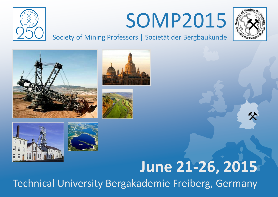

# SOMP2015



Society of Mining Professors | Societät der Bergbaukunde











## **June 21-26, 2015**

Technical University Bergakademie Freiberg, Germany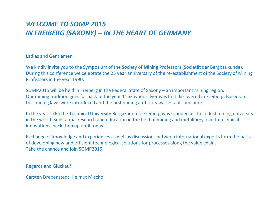### *WELCOME TO SOMP 2015 IN FREIBERG (SAXONY) – IN THE HEART OF GERMANY*

Ladies and Gentlemen.

We kindly invite you to the Symposium of the **So**ciety of **M**ining **P**rofessors (Societät der Bergbaukunde). During this conference we celebrate the 25 year anniversary of the re-establishment of the Society of Mining Professors in the year 1990.

SOMP2015 will be held in Freiberg in the Federal State of Saxony – an important mining region. Our mining tradition goes far back to the year 1163 when silver was first discovered in Freiberg. Based on this mining laws were introduced and the first mining authority was established here.

In the year 1765 the Technical University Bergakademie Freiberg was founded as the oldest mining university in the world. Substantial research and education in the field of mining and metallurgy lead to technical innovations, back then up until today.

Exchange of knowledge and experiences as well as discussions between international experts form the basis of developing new and efficient technological solutions for processes along the value chain. Take the chance and join SOMP2015.

Regards and Glückauf!

Carsten Drebenstedt, Helmut Mischo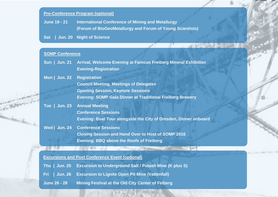### **Pre-Conference Program (optional)**

**June 19 - 21 International Conference of Mining and Metallurgy (Forum of BioGeoMetallurgy and Forum of Young Scientists)**

**Sat | Jun. 20 Night of Science**

### **SOMP Conference**

 $-15.5$ 

 $58.27$ 

- **Sun | Jun. 21 Arrival, Welcome Evening at Famous Freiberg Mineral Exhibition Evening-Registration**
- **Mon | Jun. 22 Registration**

**Council Meeting, Meetings of Delegates Opening Session, Keynote Sessions Evening: SOMP Gala Dinner at Traditional Freiberg Brewery**

**Tue | Jun. 23 Annual Meeting**

**Conference Sessions Evening: Boat Tour alongside the City of Dresden, Dinner onboard**

the control of the second company of the control of the con-

**Wed | Jun. 24 Conference Sessions**

**Closing Session and Hand Over to Host of SOMP 2016**

**Evening: BBQ above the Roofs of Freiberg**

**Excursions and Post Conference Event (optional)**

 $-1000$  eV  $-2.1$ 

- **Fri | Jun. 26 Excursion to Lignite Open Pit Mine (Vattenfall)**
- **June 26 - 28 Mining Festival at the Old City Center of Feiberg**